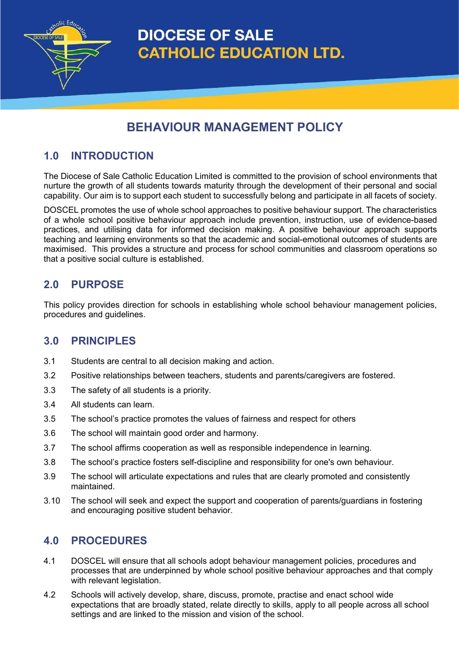**DIOCESE OF SALE CATHOLIC EDUCATION LTD.** 

# **BEHAVIOUR MANAGEMENT POLICY**

## **1.0 INTRODUCTION**

tholic Educ

The Diocese of Sale Catholic Education Limited is committed to the provision of school environments that nurture the growth of all students towards maturity through the development of their personal and social capability. Our aim is to support each student to successfully belong and participate in all facets of society.

DOSCEL promotes the use of whole school approaches to positive behaviour support. The characteristics of a whole school positive behaviour approach include prevention, instruction, use of evidence-based practices, and utilising data for informed decision making. A positive behaviour approach supports teaching and learning environments so that the academic and social-emotional outcomes of students are maximised. This provides a structure and process for school communities and classroom operations so that a positive social culture is established.

### **2.0 PURPOSE**

This policy provides direction for schools in establishing whole school behaviour management policies, procedures and guidelines.

### **3.0 PRINCIPLES**

- 3.1 Students are central to all decision making and action.
- 3.2 Positive relationships between teachers, students and parents/caregivers are fostered.
- 3.3 The safety of all students is a priority.
- 3.4 All students can learn.
- 3.5 The school's practice promotes the values of fairness and respect for others
- 3.6 The school will maintain good order and harmony.
- 3.7 The school affirms cooperation as well as responsible independence in learning.
- 3.8 The school's practice fosters self-discipline and responsibility for one's own behaviour.
- 3.9 The school will articulate expectations and rules that are clearly promoted and consistently maintained.
- 3.10 The school will seek and expect the support and cooperation of parents/guardians in fostering and encouraging positive student behavior.

### **4.0 PROCEDURES**

- 4.1 DOSCEL will ensure that all schools adopt behaviour management policies, procedures and processes that are underpinned by whole school positive behaviour approaches and that comply with relevant legislation.
- 4.2 Schools will actively develop, share, discuss, promote, practise and enact school wide expectations that are broadly stated, relate directly to skills, apply to all people across all school settings and are linked to the mission and vision of the school.